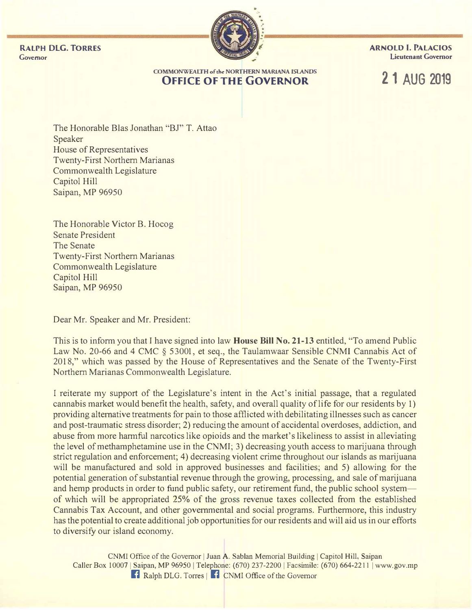RALPH DLG. TORRES ARNOLD I. PALACIOS Governor Lieutenant Governor



#### COMMONWEALTH of the NORTHERN MARIANA ISlANDS **OFFICE OF THE GOVERNOR 21 AUG 2019**

The Honorable Bias Jonathan "BJ" T. Attao Speaker House of Representatives Twenty-First Northern Marianas Commonwealth Legislature Capitol Hill Saipan, MP 96950

The Honorable Victor B. Hocog Senate President The Senate Twenty-First Northern Marianas Commonwealth Legislature Capitol Hill Saipan, MP 96950

Dear Mr. Speaker and Mr. President:

This is to inform you that I have signed into law **House Bill No. 21-13** entitled, "To amend Public Law No. 20-66 and 4 CMC § 53001, et seq., the Taulamwaar Sensible CNMI Cannabis Act of 2018," which was passed by the House of Representatives and the Senate of the Twenty-First Northern Marianas Commonwealth Legislature.

I reiterate my support of the Legislature's intent in the Act's initial passage, that a regulated cannabis market would benefit the health, safety, and overall quality of life for our residents by 1) providing alternative treatments for pain to those afflicted with debilitating illnesses such as cancer and post-traumatic stress disorder; 2) reducing the amount of accidental overdoses, addiction, and abuse from more harmful narcotics like opioids and the market's likeliness to assist in alleviating the level of methamphetamine use in the CNMI; 3) decreasing youth access to marijuana through strict regulation and enforcement; 4) decreasing violent crime throughout our islands as marijuana will be manufactured and sold in approved businesses and facilities; and 5) allowing for the potential generation of substantial revenue through the growing, processing, and sale of marijuana and hemp products in order to fund public safety, our retirement fund, the public school system of which will be appropriated 25% of the gross revenue taxes collected from the established Cannabis Tax Account, and other governmental and social programs. Furthermore, this industry has the potential to create additional job opportunities for our residents and will aid us in our efforts to diversify our island economy.

CNMI Office of the Governor | Juan A. Sablan Memorial Building | Capitol Hill, Saipan Caller Box 10007 | Saipan, MP 96950 | Telephone: (670) 237-2200 | Facsimile: (670) 664-2211 | www.gov.mp **Fi** Ralph DLG. Torres | **F** CNMI Office of the Governor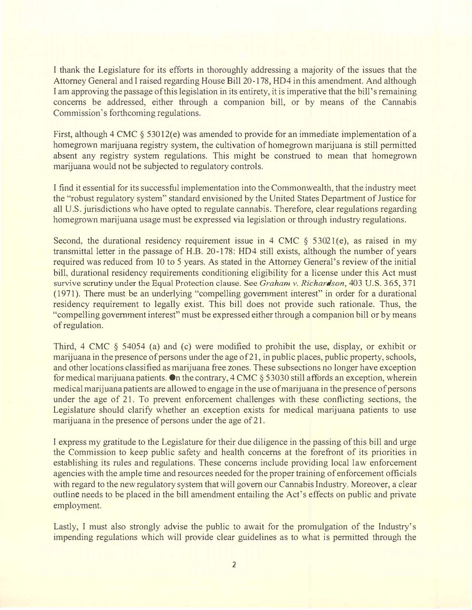I thank the Legislature for its efforts in thoroughly addressing a majority of the issues that the Attorney General and I raised regarding House Bill 20-178, HD4 in this amendment. And although I am approving the passage of this legislation in its entirety, it is imperative that the bill's remaining concerns be addressed, either through a companion bill, or by means of the Cannabis Commission's forthcoming regulations.

First, although 4 CMC  $\S$  53012(e) was amended to provide for an immediate implementation of a homegrown marijuana registry system, the cultivation of homegrown marijuana is still permitted absent any registry system regulations. This might be construed to mean that homegrown marijuana would not be subjected to regulatory controls.

I find it essential for its successful implementation into the Commonwealth, that the industry meet the "robust regulatory system" standard envisioned by the United States Department of Justice for all U.S. jurisdictions who have opted to regulate cannabis. Therefore, clear regulations regarding homegrown marijuana usage must be expressed via legislation or through industry regulations.

Second, the durational residency requirement issue in 4 CMC  $\S$  53021(e), as raised in my transmittal letter in the passage of H.B. 20-178: HD4 still exists, although the number of years required was reduced from 10 to 5 years. As stated in the Attorney General's review of the initial bill, durational residency requirements conditioning eligibility for a license under this Act must survive scrutiny under the Equal Protection clause. See Graham v. Richardson, 403 U.S. 365, 371  $(1971)$ . There must be an underlying "compelling government interest" in order for a durational residency requirement to legally exist. This bill does not provide such rationale. Thus, the "compelling government interest" must be expressed either through a companion bill or by means of regulation.

Third, 4 CMC  $\S$  54054 (a) and (c) were modified to prohibit the use, display, or exhibit or marijuana in the presence of persons under the age of 21 , in public places, public property, schools, and other locations classified as marijuana free zones. These subsections no longer have exception for medical marijuana patients. On the contrary, 4 CMC § 53030 still affords an exception, wherein medical marijuana patients are allowed to engage in the use of marijuana in the presence of persons under the age of 21. To prevent enforcement challenges with these conflicting sections, the Legislature should clarify whether an exception exists for medical marijuana patients to use marijuana in the presence of persons under the age of 21.

I express my gratitude to the Legislature for their due diligence in the passing of this bill and urge the Commission to keep public safety and health concerns at the forefront of its priorities in establishing its rules and regulations. These concerns include providing local law enforcement agencies with the ample time and resources needed for the proper training of enforcement officials with regard to the new regulatory system that will govern our Cannabis Industry. Moreover, a clear outline needs to be placed in the bill amendment entailing the Act's effects on public and private employment.

Lastly, I must also strongly advise the public to await for the promulgation of the Industry's impending regulations which will provide clear guidelines as to what is permitted through the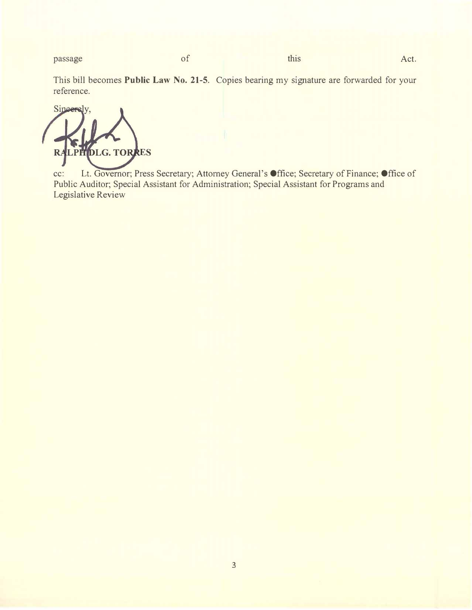passage of this Act.

This bill becomes Public Law No. 21-5. Copies bearing my signature are forwarded for your reference.

**Sincerel** LPHIDLG. TORRES

cc: Lt. Governor; Press Secretary; Attorney General's Office; Secretary of Finance; Office of Public Auditor; Special Assistant for Administration; Special Assistant for Programs and Legislative Review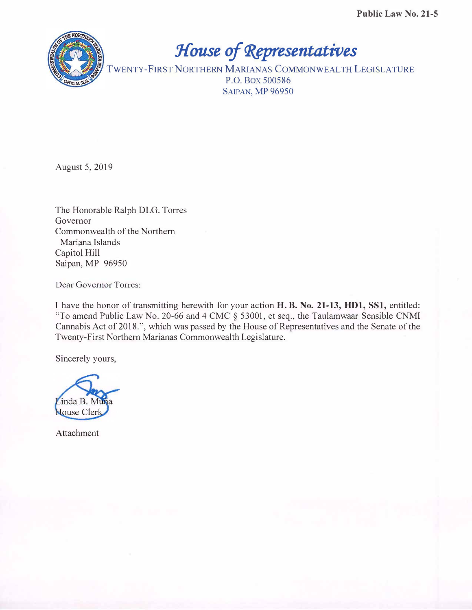

House of Representatives

TWENTy-FIRST NORTHERN MARIANAS COMMONWEALTH LEGISLATURE P.O. Box 500586 SAlPAN, MP 96950

August 5, 2019

The Honorable Ralph DLG. Torres Governor Commonwealth of the Northern Mariana Islands Capitol Hill Saipan, MP 96950

Dear Governor Torres:

I have the honor of transmitting herewith for your action H. B. No. 21-13, HD1, SSI, entitled: "To amend Public Law No. 20-66 and 4 CMC § 53001, et seq., the Taulamwaar Sensible CNMI Cannabis Act of 2018.", which was passed by the House of Representatives and the Senate of the Twenty-First Northern Marianas Commonwealth Legislature.

Sincerely yours,



Attachment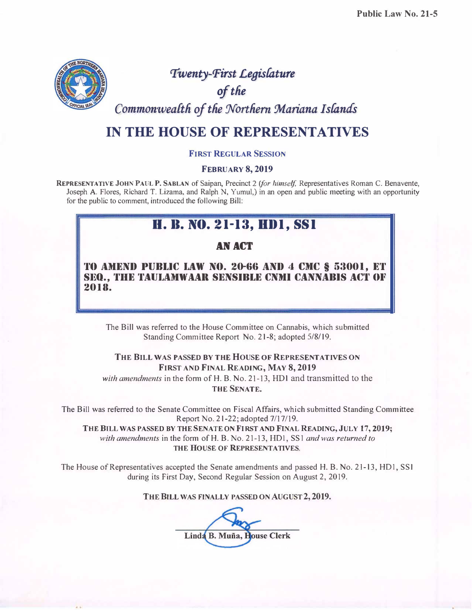

Twenty-First Legislature

of the

Commonwealth of the Northern Mariana Islands

## IN THE HOUSE OF REPRESENTATIVES

#### FIRST REGULAR SESSION

#### FEBRUARY 8, 2019

REPRESENTATIVE JOHN PAUL P. SABLAN of Saipan, Precinct 2 (for himself, Representatives Roman C. Benavente, Joseph A. Flores, Richard T. Lizama, and Ralph N, Yumul,) in an open and public meeting with an opportunity for the public to comment, introduced the following Bill:

# H. B. NO. 21-13, HD1, SS1

#### AN ACT

TO AMEND PUBLIC LAW NO. 20-66 AND 4 CMC § 53001, ET SEQ., THE TAULAMWAAR SENSIBLE CNMI CANNABIS ACT OF 2018.

The Bill was referred to the House Committee on Cannabis, which submitted Standing Committee Report No. 21-8; adopted 5/8/19.

## THE BILL WAS PASSED BY THE HOUSE OF REPRESENTATIVES ON FIRST AND FINAL READING, MAY 8, 2019

with amendments in the form of H. B. No. 21-13, HD1 and transmitted to the <sup>T</sup>HE SENATE.

The Bill was referred to the Senate Committee on Fiscal Affairs, which submitted Standing Committee R eport No. 21-22; adopted 7117/19.

THE BILL WAS PASSED BY THE SENATE ON FIRST AND FINAL READING, JULY 17, 2019; with amendments in the form of H. B. No. 21-13, HD1, SS1 and was returned to THE HOUSE OF REPRESENTATIVES.

The House of Representatives accepted the Senate amendments and passed H. B. No. 21-13, HDI, SS I during its First Day, Second Regular Session on August 2, 2019.

THE BILL WAS FINALLY PASSED ON AUGUST 2, 2019.

Linda B. Muña, House Clerk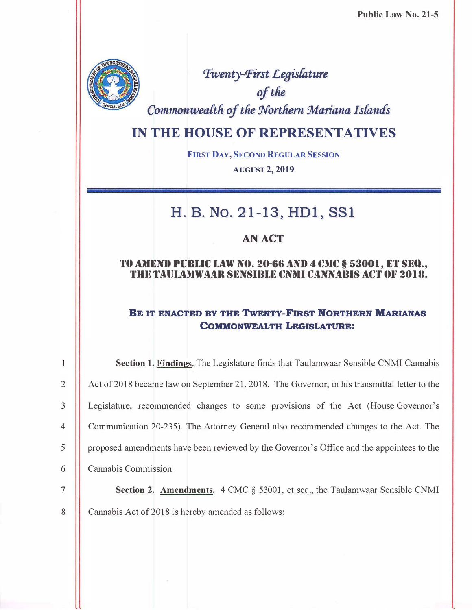Public Law No. 21-5



'Twenty-Pirst Legisfature of the Commonwealth of the Northern Mariana Islands

## IN THE HOUSE OF REPRESENTATIVES

FIRST DAY, SECOND REGULAR SESSION AUGUST 2, 2019

# H. B. No. 21-13, HDl, SSI

#### AN ACT

#### TO AMEND PUBLIC LAW NO. 20-66 AND 4 CMC § 53001, ET SEQ., THE TAULAMWAAR SENSIRLE CNMI CANNARIS ACT OF 2018.

#### BE IT ENACTED BY THE TwENTy-FIRST NORTHERN MARIANAS COMMONWEALTH LEGISLATURE:

Section 1. Findings. The Legislature finds that Taulamwaar Sensible CNMI Cannabis 2 **Act of 2018 became law on September 21, 2018.** The Governor, in his transmittal letter to the 3 Legislature, recommended changes to some provisions of the Act (House Governor's 4 Communication 20-235). The Attorney General also recommended changes to the Act. The 5 proposed amendments have been reviewed by the Governor's Office and the appointees to the 6 Cannabis Commission.

 $\mathbf{1}$ 

**7** Section 2. Amendments. 4 CMC § 53001, et seq., the Taulamwaar Sensible CNMI 8 **Cannabis Act of 2018 is hereby amended as follows:**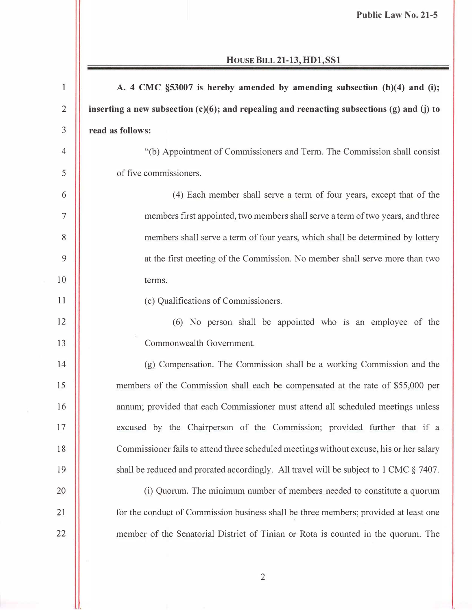| $\mathbf{1}$   | A. 4 CMC §53007 is hereby amended by amending subsection (b)(4) and (i);                          |
|----------------|---------------------------------------------------------------------------------------------------|
| $\overline{2}$ | inserting a new subsection $(c)(6)$ ; and repealing and reenacting subsections $(g)$ and $(j)$ to |
| 3              | read as follows:                                                                                  |
| $\overline{4}$ | "(b) Appointment of Commissioners and Term. The Commission shall consist                          |
| 5              | of five commissioners.                                                                            |
| 6              | (4) Each member shall serve a term of four years, except that of the                              |
| 7              | members first appointed, two members shall serve a term of two years, and three                   |
| 8              | members shall serve a term of four years, which shall be determined by lottery                    |
| 9              | at the first meeting of the Commission. No member shall serve more than two                       |
| 10             | terms.                                                                                            |
| 11             | (c) Qualifications of Commissioners.                                                              |
| 12             | (6) No person shall be appointed who is an employee of the                                        |
| 13             | Commonwealth Government.                                                                          |
| 14             | (g) Compensation. The Commission shall be a working Commission and the                            |
| 15             | members of the Commission shall each be compensated at the rate of \$55,000 per                   |
| 16             | annum; provided that each Commissioner must attend all scheduled meetings unless                  |
| 17             | excused by the Chairperson of the Commission; provided further that if a                          |
| 18             | Commissioner fails to attend three scheduled meetings without excuse, his or her salary           |
| 19             | shall be reduced and prorated accordingly. All travel will be subject to 1 CMC § 7407.            |
| 20             | (i) Quorum. The minimum number of members needed to constitute a quorum                           |
| 21             | for the conduct of Commission business shall be three members; provided at least one              |
| 22             | member of the Senatorial District of Tinian or Rota is counted in the quorum. The                 |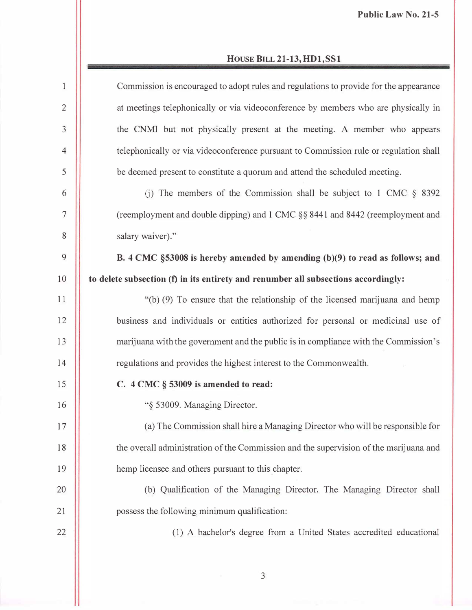| $\mathbf{1}$   | Commission is encouraged to adopt rules and regulations to provide for the appearance |
|----------------|---------------------------------------------------------------------------------------|
| $\overline{2}$ | at meetings telephonically or via videoconference by members who are physically in    |
| 3              | the CNMI but not physically present at the meeting. A member who appears              |
| $\overline{4}$ | telephonically or via videoconference pursuant to Commission rule or regulation shall |
| 5              | be deemed present to constitute a quorum and attend the scheduled meeting.            |
| 6              | (i) The members of the Commission shall be subject to 1 CMC $\S$ 8392                 |
| $\overline{7}$ | (reemployment and double dipping) and 1 CMC §§ 8441 and 8442 (reemployment and        |
| 8              | salary waiver)."                                                                      |
| 9              | B. 4 CMC §53008 is hereby amended by amending (b)(9) to read as follows; and          |
| 10             | to delete subsection (f) in its entirety and renumber all subsections accordingly:    |
| 11             | "(b) (9) To ensure that the relationship of the licensed marijuana and hemp           |
| 12             | business and individuals or entities authorized for personal or medicinal use of      |
| 13             | marijuana with the government and the public is in compliance with the Commission's   |
| 14             | regulations and provides the highest interest to the Commonwealth.                    |
| 15             | C. 4 CMC § 53009 is amended to read:                                                  |
| 16             | "§ 53009. Managing Director.                                                          |
| 17             | (a) The Commission shall hire a Managing Director who will be responsible for         |
| 18             | the overall administration of the Commission and the supervision of the marijuana and |
| 19             | hemp licensee and others pursuant to this chapter.                                    |
| 20             | (b) Qualification of the Managing Director. The Managing Director shall               |
| 21             | possess the following minimum qualification:                                          |
| 22             | (1) A bachelor's degree from a United States accredited educational                   |
|                |                                                                                       |

3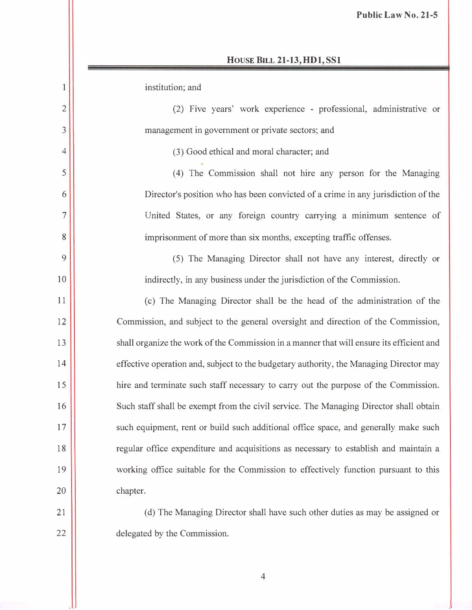institution; and

I

2

3

4

5

6

7

8

9

10

II

12

13

14

15

16

17

18

19

20

21

22

(2) Five years' work experience - professional, administrative or management in government or private sectors; and

(3) Good ethical and moral character; and

(4) The Commission shall not hire any person for the Managing Director's position who has been convicted of a crime in any jurisdiction of the United States, or any foreign country carrying a minimum sentence of imprisonment of more than six months, excepting traffic offenses.

(5) The Managing Director shall not have any interest, directly or indirectly, in any business under the jurisdiction of the Commission.

( c) The Managing Director shall be the head of the administration of the Commission, and subject to the general oversight and direction of the Commission, shall organize the work of the Commission in a manner that will ensure its efficient and effective operation and, subject to the budgetary authority, the Managing Director may hire and terminate such staff necessary to carry out the purpose of the Commission. Such staff shall be exempt from the civil service. The Managing Director shall obtain such equipment, rent or build such additional office space, and generally make such regular office expenditure and acquisitions as necessary to establish and maintain a working office suitable for the Commission to effectively function pursuant to this chapter.

(d) The Managing Director shall have such other duties as may be assigned or delegated by the Commission.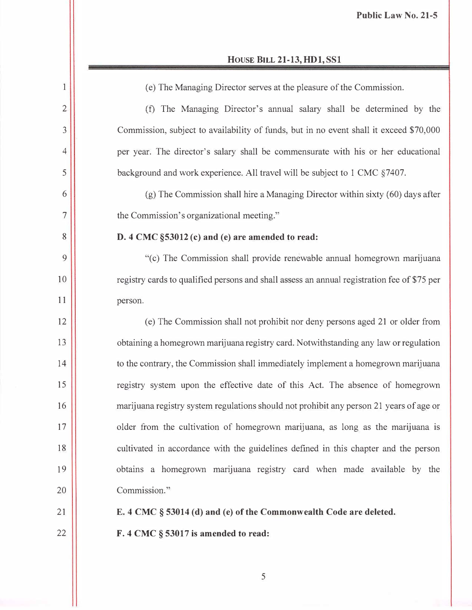| $\mathbf{1}$   | (e) The Managing Director serves at the pleasure of the Commission.                         |
|----------------|---------------------------------------------------------------------------------------------|
| $\overline{2}$ | (f) The Managing Director's annual salary shall be determined by the                        |
| 3              | Commission, subject to availability of funds, but in no event shall it exceed \$70,000      |
| 4              | per year. The director's salary shall be commensurate with his or her educational           |
| 5              | background and work experience. All travel will be subject to 1 CMC §7407.                  |
| 6              | (g) The Commission shall hire a Managing Director within sixty (60) days after              |
| 7              | the Commission's organizational meeting."                                                   |
| 8              | D. 4 CMC §53012 (c) and (e) are amended to read:                                            |
| 9              | "(c) The Commission shall provide renewable annual homegrown marijuana                      |
| 10             | registry cards to qualified persons and shall assess an annual registration fee of \$75 per |
| 11             | person.                                                                                     |
| 12             | (e) The Commission shall not prohibit nor deny persons aged 21 or older from                |
| 13             | obtaining a homegrown marijuana registry card. Notwithstanding any law or regulation        |
| 14             | to the contrary, the Commission shall immediately implement a homegrown marijuana           |
| 15             | registry system upon the effective date of this Act. The absence of homegrown               |
| 16             | marijuana registry system regulations should not prohibit any person 21 years of age or     |
| 17             | older from the cultivation of homegrown marijuana, as long as the marijuana is              |
| 18             | cultivated in accordance with the guidelines defined in this chapter and the person         |
| 19             | obtains a homegrown marijuana registry card when made available by the                      |
| 20             | Commission."                                                                                |
| 21             | E. 4 CMC § 53014 (d) and (e) of the Commonwealth Code are deleted.                          |
| 22             | F. 4 CMC § 53017 is amended to read:                                                        |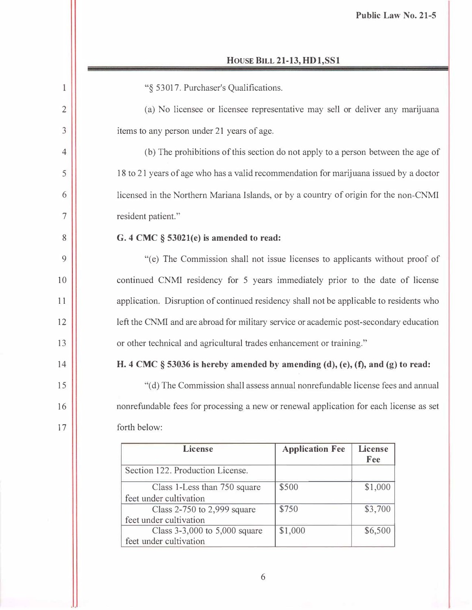| <b>HOUSE BILL 21-13, HD1, SS1</b> |  |  |  |  |
|-----------------------------------|--|--|--|--|
|-----------------------------------|--|--|--|--|

| "§ 53017. Purchaser's Qualifications.                                                   |  |  |  |
|-----------------------------------------------------------------------------------------|--|--|--|
| (a) No licensee or licensee representative may sell or deliver any marijuana            |  |  |  |
| items to any person under 21 years of age.                                              |  |  |  |
| (b) The prohibitions of this section do not apply to a person between the age of        |  |  |  |
| 18 to 21 years of age who has a valid recommendation for marijuana issued by a doctor   |  |  |  |
| licensed in the Northern Mariana Islands, or by a country of origin for the non-CNMI    |  |  |  |
| resident patient."                                                                      |  |  |  |
| G. 4 CMC § 53021(e) is amended to read:                                                 |  |  |  |
| "(e) The Commission shall not issue licenses to applicants without proof of             |  |  |  |
| continued CNMI residency for 5 years immediately prior to the date of license           |  |  |  |
| application. Disruption of continued residency shall not be applicable to residents who |  |  |  |
| left the CNMI and are abroad for military service or academic post-secondary education  |  |  |  |
| or other technical and agricultural trades enhancement or training."                    |  |  |  |
| H. 4 CMC § 53036 is hereby amended by amending (d), (e), (f), and (g) to read:          |  |  |  |
| "(d) The Commission shall assess annual nonrefundable license fees and annual           |  |  |  |
| nonrefundable fees for processing a new or renewal application for each license as set  |  |  |  |
| forth below:                                                                            |  |  |  |
| <b>License</b><br><b>Application Fee</b><br><b>License</b>                              |  |  |  |
| Fee<br>Section 122. Production License.                                                 |  |  |  |
| \$500<br>\$1,000<br>Class 1-Less than 750 square                                        |  |  |  |
| feet under cultivation<br>\$750                                                         |  |  |  |
| \$3,700<br>Class $2-750$ to 2,999 square<br>feet under cultivation                      |  |  |  |
| Class 3-3,000 to 5,000 square<br>\$1,000<br>\$6,500<br>feet under cultivation           |  |  |  |
|                                                                                         |  |  |  |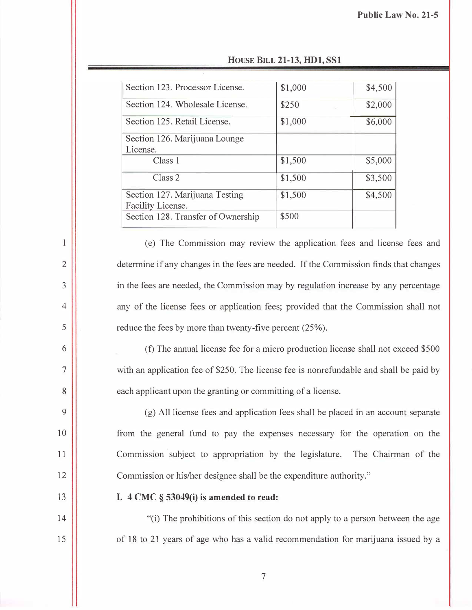| Section 123. Processor License.                     | \$1,000 | \$4,500 |
|-----------------------------------------------------|---------|---------|
| Section 124. Wholesale License.                     | \$250   | \$2,000 |
| Section 125. Retail License.                        | \$1,000 | \$6,000 |
| Section 126. Marijuana Lounge<br>License.           |         |         |
| Class 1                                             | \$1,500 | \$5,000 |
| Class <sub>2</sub>                                  | \$1,500 | \$3,500 |
| Section 127. Marijuana Testing<br>Facility License. | \$1,500 | \$4,500 |
| Section 128. Transfer of Ownership                  | \$500   |         |
|                                                     |         |         |

| <b>HOUSE BILL 21-13, HD1, SS1</b> |  |  |  |  |
|-----------------------------------|--|--|--|--|
|-----------------------------------|--|--|--|--|

(e) The Commission may review the application fees and license fees and determine if any changes in the fees are needed. If the Commission finds that changes in the fees are needed, the Commission may by regulation increase by any percentage any of the license fees or application fees; provided that the Commission shall not reduce the fees by more than twenty-five percent (25%).

(f) The annual license fee for a micro production license shall not exceed \$500 with an application fee of \$250. The license fee is nonrefundable and shall be paid by each applicant upon the granting or committing of a license.

(g) All license fees and application fees shall be placed in an account separate from the general fund to pay the expenses necessary for the operation on the Commission subject to appropriation by the legislature. The Chairman of the Commission or his/her designee shall be the expenditure authority."

13

14

15

1

2

3

4

5

6

7

8

9

10

11

12

#### I.  $4 \text{ CMC }$ § 53049(i) is amended to read:

"(i) The prohibitions of this section do not apply to a person between the age of 18 to 21 years of age who has a valid recommendation for marijuana issued by a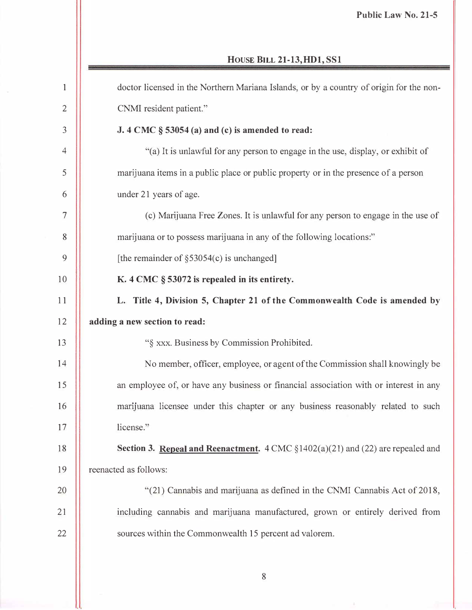| $\mathbf{1}$   | doctor licensed in the Northern Mariana Islands, or by a country of origin for the non-           |
|----------------|---------------------------------------------------------------------------------------------------|
| $\overline{2}$ | CNMI resident patient."                                                                           |
| 3              | J. 4 CMC § 53054 (a) and (c) is amended to read:                                                  |
| $\overline{4}$ | "(a) It is unlawful for any person to engage in the use, display, or exhibit of                   |
| 5              | marijuana items in a public place or public property or in the presence of a person               |
| 6              | under 21 years of age.                                                                            |
| 7              | (c) Marijuana Free Zones. It is unlawful for any person to engage in the use of                   |
| 8              | marijuana or to possess marijuana in any of the following locations."                             |
| 9              | [the remainder of $\S$ 53054(c) is unchanged]                                                     |
| 10             | K. 4 CMC § 53072 is repealed in its entirety.                                                     |
| 11             | L. Title 4, Division 5, Chapter 21 of the Commonwealth Code is amended by                         |
| 12             | adding a new section to read:                                                                     |
| 13             | "§ xxx. Business by Commission Prohibited.                                                        |
| 14             | No member, officer, employee, or agent of the Commission shall knowingly be                       |
| 15             | an employee of, or have any business or financial association with or interest in any             |
| 16             | marijuana licensee under this chapter or any business reasonably related to such                  |
| 17             | license."                                                                                         |
| 18             | <b>Section 3. Repeal and Reenactment.</b> $4 \text{ CMC } $1402(a)(21)$ and (22) are repealed and |
| 19             | reenacted as follows:                                                                             |
| 20             | "(21) Cannabis and marijuana as defined in the CNMI Cannabis Act of 2018,                         |
| 21             | including cannabis and marijuana manufactured, grown or entirely derived from                     |
| 22             | sources within the Commonwealth 15 percent ad valorem.                                            |
|                |                                                                                                   |

8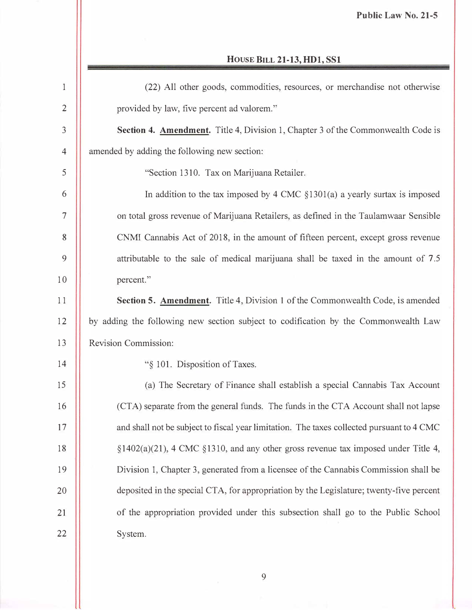| $\mathbf{1}$   | (22) All other goods, commodities, resources, or merchandise not otherwise                |
|----------------|-------------------------------------------------------------------------------------------|
| $\overline{2}$ | provided by law, five percent ad valorem."                                                |
| 3              | Section 4. Amendment. Title 4, Division 1, Chapter 3 of the Commonwealth Code is          |
| $\overline{4}$ | amended by adding the following new section:                                              |
| 5              | "Section 1310. Tax on Marijuana Retailer.                                                 |
| 6              | In addition to the tax imposed by 4 CMC $\S$ 1301(a) a yearly surtax is imposed           |
| $\overline{7}$ | on total gross revenue of Marijuana Retailers, as defined in the Taulamwaar Sensible      |
| 8              | CNMI Cannabis Act of 2018, in the amount of fifteen percent, except gross revenue         |
| 9              | attributable to the sale of medical marijuana shall be taxed in the amount of 7.5         |
| 10             | percent."                                                                                 |
| 11             | Section 5. Amendment. Title 4, Division 1 of the Commonwealth Code, is amended            |
| 12             | by adding the following new section subject to codification by the Commonwealth Law       |
|                |                                                                                           |
| 13             | Revision Commission:                                                                      |
| 14             | "§ 101. Disposition of Taxes.                                                             |
|                | (a) The Secretary of Finance shall establish a special Cannabis Tax Account               |
| 16             | (CTA) separate from the general funds. The funds in the CTA Account shall not lapse       |
| 17             | and shall not be subject to fiscal year limitation. The taxes collected pursuant to 4 CMC |
| 18             | $\S1402(a)(21)$ , 4 CMC $\S1310$ , and any other gross revenue tax imposed under Title 4, |
| 15<br>19       | Division 1, Chapter 3, generated from a licensee of the Cannabis Commission shall be      |
| 20             | deposited in the special CTA, for appropriation by the Legislature; twenty-five percent   |
| 21             | of the appropriation provided under this subsection shall go to the Public School         |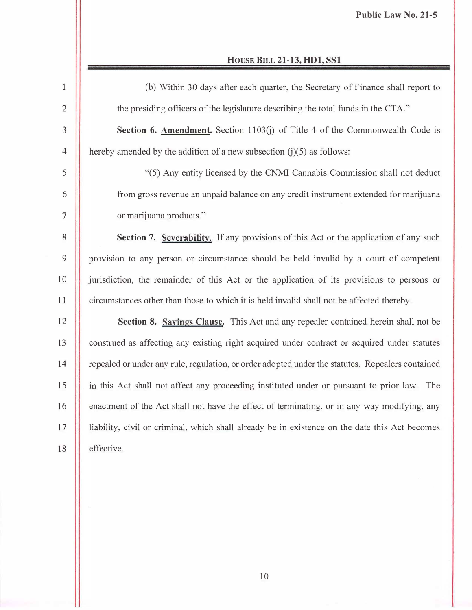| $\mathbf{1}$   | (b) Within 30 days after each quarter, the Secretary of Finance shall report to                  |
|----------------|--------------------------------------------------------------------------------------------------|
| $\overline{2}$ | the presiding officers of the legislature describing the total funds in the CTA."                |
| 3              | Section 6. Amendment. Section 1103(j) of Title 4 of the Commonwealth Code is                     |
| $\overline{4}$ | hereby amended by the addition of a new subsection $(j)(5)$ as follows:                          |
| 5              | "(5) Any entity licensed by the CNMI Cannabis Commission shall not deduct                        |
| 6              | from gross revenue an unpaid balance on any credit instrument extended for marijuana             |
| $\overline{7}$ | or marijuana products."                                                                          |
| 8              | Section 7. Severability. If any provisions of this Act or the application of any such            |
| 9              | provision to any person or circumstance should be held invalid by a court of competent           |
| 10             | jurisdiction, the remainder of this Act or the application of its provisions to persons or       |
| 11             | circumstances other than those to which it is held invalid shall not be affected thereby.        |
| 12             | Section 8. Savings Clause. This Act and any repealer contained herein shall not be               |
| 13             | construed as affecting any existing right acquired under contract or acquired under statutes     |
| 14             | repealed or under any rule, regulation, or order adopted under the statutes. Repealers contained |
| 15             | in this Act shall not affect any proceeding instituted under or pursuant to prior law. The       |
| 16             | enactment of the Act shall not have the effect of terminating, or in any way modifying, any      |
| 17             | liability, civil or criminal, which shall already be in existence on the date this Act becomes   |
| 18             | effective.                                                                                       |
|                |                                                                                                  |

10